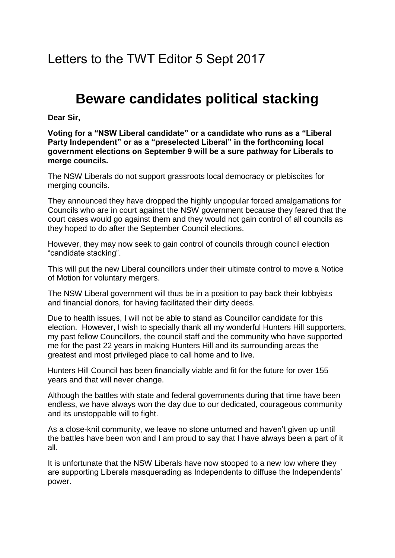Letters to the TWT Editor 5 Sept 2017

## **Beware candidates political stacking**

**Dear Sir,**

**Voting for a "NSW Liberal candidate" or a candidate who runs as a "Liberal Party Independent" or as a "preselected Liberal" in the forthcoming local government elections on September 9 will be a sure pathway for Liberals to merge councils.**

The NSW Liberals do not support grassroots local democracy or plebiscites for merging councils.

They announced they have dropped the highly unpopular forced amalgamations for Councils who are in court against the NSW government because they feared that the court cases would go against them and they would not gain control of all councils as they hoped to do after the September Council elections.

However, they may now seek to gain control of councils through council election "candidate stacking".

This will put the new Liberal councillors under their ultimate control to move a Notice of Motion for voluntary mergers.

The NSW Liberal government will thus be in a position to pay back their lobbyists and financial donors, for having facilitated their dirty deeds.

Due to health issues, I will not be able to stand as Councillor candidate for this election. However, I wish to specially thank all my wonderful Hunters Hill supporters, my past fellow Councillors, the council staff and the community who have supported me for the past 22 years in making Hunters Hill and its surrounding areas the greatest and most privileged place to call home and to live.

Hunters Hill Council has been financially viable and fit for the future for over 155 years and that will never change.

Although the battles with state and federal governments during that time have been endless, we have always won the day due to our dedicated, courageous community and its unstoppable will to fight.

As a close-knit community, we leave no stone unturned and haven't given up until the battles have been won and I am proud to say that I have always been a part of it all.

It is unfortunate that the NSW Liberals have now stooped to a new low where they are supporting Liberals masquerading as Independents to diffuse the Independents' power.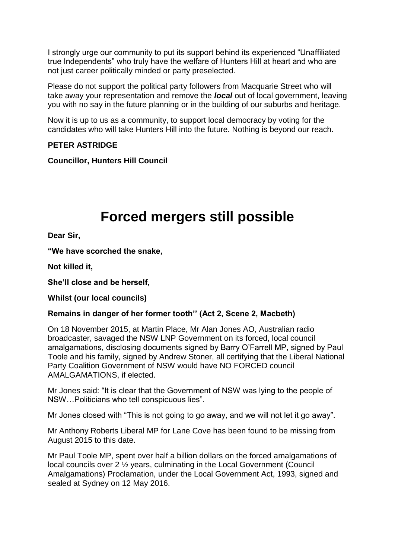I strongly urge our community to put its support behind its experienced "Unaffiliated true Independents" who truly have the welfare of Hunters Hill at heart and who are not just career politically minded or party preselected.

Please do not support the political party followers from Macquarie Street who will take away your representation and remove the *local* out of local government, leaving you with no say in the future planning or in the building of our suburbs and heritage.

Now it is up to us as a community, to support local democracy by voting for the candidates who will take Hunters Hill into the future. Nothing is beyond our reach.

### **PETER ASTRIDGE**

**Councillor, Hunters Hill Council**

# **Forced mergers still possible**

**Dear Sir,**

**"We have scorched the snake,**

**Not killed it,**

**She'll close and be herself,**

**Whilst (our local councils)**

## **Remains in danger of her former tooth'' (Act 2, Scene 2, Macbeth)**

On 18 November 2015, at Martin Place, Mr Alan Jones AO, Australian radio broadcaster, savaged the NSW LNP Government on its forced, local council amalgamations, disclosing documents signed by Barry O'Farrell MP, signed by Paul Toole and his family, signed by Andrew Stoner, all certifying that the Liberal National Party Coalition Government of NSW would have NO FORCED council AMALGAMATIONS, if elected.

Mr Jones said: "It is clear that the Government of NSW was lying to the people of NSW…Politicians who tell conspicuous lies".

Mr Jones closed with "This is not going to go away, and we will not let it go away".

Mr Anthony Roberts Liberal MP for Lane Cove has been found to be missing from August 2015 to this date.

Mr Paul Toole MP, spent over half a billion dollars on the forced amalgamations of local councils over 2 ½ years, culminating in the Local Government (Council Amalgamations) Proclamation, under the Local Government Act, 1993, signed and sealed at Sydney on 12 May 2016.